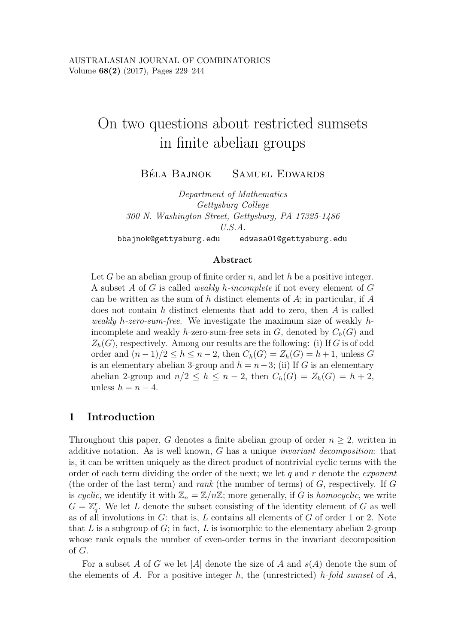# On two questions about restricted sumsets in finite abelian groups

BÉLA BAJNOK SAMUEL EDWARDS

*Department of Mathematics Gettysburg College 300 N. Washington Street, Gettysburg, PA 17325-1486 U.S.A.*

bbajnok@gettysburg.edu edwasa01@gettysburg.edu

#### **Abstract**

Let *G* be an abelian group of finite order *n*, and let *h* be a positive integer. A subset *A* of *G* is called *weakly h-incomplete* if not every element of *G* can be written as the sum of *h* distinct elements of *A*; in particular, if *A* does not contain *h* distinct elements that add to zero, then *A* is called *weakly h-zero-sum-free*. We investigate the maximum size of weakly *h*incomplete and weakly *h*-zero-sum-free sets in  $G$ , denoted by  $C_h(G)$  and  $Z_h(G)$ , respectively. Among our results are the following: (i) If *G* is of odd order and  $(n-1)/2 \le h \le n-2$ , then  $C_h(G) = Z_h(G) = h + 1$ , unless *G* is an elementary abelian 3-group and  $h = n-3$ ; (ii) If *G* is an elementary abelian 2-group and  $n/2 \leq h \leq n-2$ , then  $C_h(G) = Z_h(G) = h + 2$ , unless  $h = n - 4$ .

## **1 Introduction**

Throughout this paper, *G* denotes a finite abelian group of order  $n \geq 2$ , written in additive notation. As is well known, *G* has a unique *invariant decomposition*: that is, it can be written uniquely as the direct product of nontrivial cyclic terms with the order of each term dividing the order of the next; we let *q* and *r* denote the *exponent* (the order of the last term) and *rank* (the number of terms) of *G*, respectively. If *G* is *cyclic*, we identify it with  $\mathbb{Z}_n = \mathbb{Z}/n\mathbb{Z}$ ; more generally, if *G* is *homocyclic*, we write  $G = \mathbb{Z}_q^r$ . We let *L* denote the subset consisting of the identity element of *G* as well as of all involutions in *G*: that is, *L* contains all elements of *G* of order 1 or 2. Note that  $L$  is a subgroup of  $G$ ; in fact,  $L$  is isomorphic to the elementary abelian 2-group whose rank equals the number of even-order terms in the invariant decomposition of *G*.

For a subset *A* of *G* we let |*A*| denote the size of *A* and *s*(*A*) denote the sum of the elements of *A*. For a positive integer *h*, the (unrestricted) *h-fold sumset* of *A*,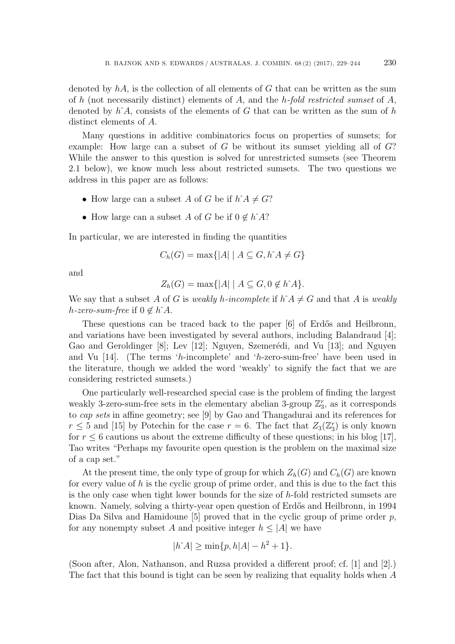denoted by *hA*, is the collection of all elements of *G* that can be written as the sum of *h* (not necessarily distinct) elements of *A*, and the *h-fold restricted sumset* of *A*, denoted by *h*ˆ*A*, consists of the elements of *G* that can be written as the sum of *h* distinct elements of *A*.

Many questions in additive combinatorics focus on properties of sumsets; for example: How large can a subset of *G* be without its sumset yielding all of *G*? While the answer to this question is solved for unrestricted sumsets (see Theorem 2.1 below), we know much less about restricted sumsets. The two questions we address in this paper are as follows:

- How large can a subset A of G be if  $h \hat{A} \neq G$ ?
- How large can a subset *A* of *G* be if  $0 \notin h^A$ ?

In particular, we are interested in finding the quantities

$$
C_h(G) = \max\{|A| \mid A \subseteq G, h \land A \neq G\}
$$

and

$$
Z_h(G) = \max\{|A| \mid A \subseteq G, 0 \notin h \land A\}.
$$

We say that a subset A of G is *weakly*  $h$ *-incomplete* if  $h \hat{A} \neq G$  and that A is *weakly h*-zero-sum-free if  $0 \notin h^A$ .

These questions can be traced back to the paper [6] of Erdős and Heilbronn, and variations have been investigated by several authors, including Balandraud [4]; Gao and Geroldinger [8]; Lev [12]; Nguyen, Szemerédi, and Vu [13]; and Nguyen and Vu [14]. (The terms '*h*-incomplete' and '*h*-zero-sum-free' have been used in the literature, though we added the word 'weakly' to signify the fact that we are considering restricted sumsets.)

One particularly well-researched special case is the problem of finding the largest weakly 3-zero-sum-free sets in the elementary abelian 3-group  $\mathbb{Z}_3^r$ , as it corresponds to *cap sets* in affine geometry; see [9] by Gao and Thangadurai and its references for  $r \leq 5$  and [15] by Potechin for the case  $r = 6$ . The fact that  $Z_3(\mathbb{Z}_3^r)$  is only known for  $r \leq 6$  cautions us about the extreme difficulty of these questions; in his blog [17], Tao writes "Perhaps my favourite open question is the problem on the maximal size of a cap set."

At the present time, the only type of group for which  $Z_h(G)$  and  $C_h(G)$  are known for every value of *h* is the cyclic group of prime order, and this is due to the fact this is the only case when tight lower bounds for the size of *h*-fold restricted sumsets are known. Namely, solving a thirty-year open question of Erdős and Heilbronn, in 1994 Dias Da Silva and Hamidoune [5] proved that in the cyclic group of prime order *p*, for any nonempty subset *A* and positive integer  $h \leq |A|$  we have

$$
|h \hat{ } \, A| \ge \min\{p, h|A| - h^2 + 1\}.
$$

(Soon after, Alon, Nathanson, and Ruzsa provided a different proof; cf. [1] and [2].) The fact that this bound is tight can be seen by realizing that equality holds when *A*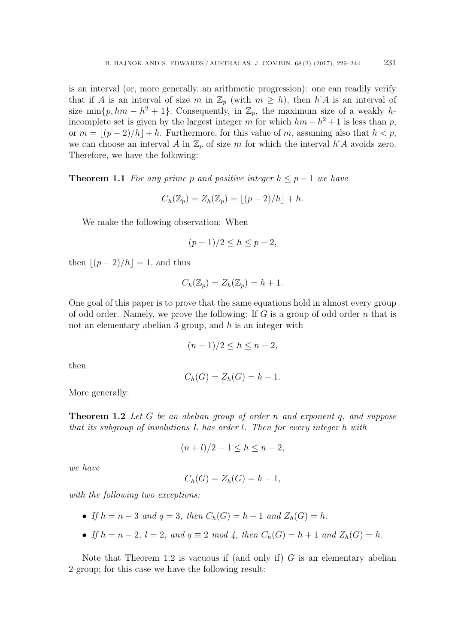is an interval (or, more generally, an arithmetic progression): one can readily verify that if *A* is an interval of size *m* in  $\mathbb{Z}_p$  (with  $m \geq h$ ), then  $h \hat{A}$  is an interval of size min $\{p, hm-h^2+1\}$ . Consequently, in  $\mathbb{Z}_p$ , the maximum size of a weakly *h*incomplete set is given by the largest integer *m* for which  $hm - h^2 + 1$  is less than *p*, or  $m = \lfloor (p-2)/h \rfloor + h$ . Furthermore, for this value of *m*, assuming also that  $h < p$ , we can choose an interval *A* in  $\mathbb{Z}_p$  of size *m* for which the interval  $h \hat{A}$  avoids zero. Therefore, we have the following:

**Theorem 1.1** *For any prime p and positive integer*  $h \leq p-1$  *we have* 

$$
C_h(\mathbb{Z}_p) = Z_h(\mathbb{Z}_p) = \lfloor (p-2)/h \rfloor + h.
$$

We make the following observation: When

$$
(p-1)/2 \le h \le p-2,
$$

then  $|(p-2)/h|=1$ , and thus

$$
C_h(\mathbb{Z}_p) = Z_h(\mathbb{Z}_p) = h + 1.
$$

One goal of this paper is to prove that the same equations hold in almost every group of odd order. Namely, we prove the following: If *G* is a group of odd order *n* that is not an elementary abelian 3-group, and *h* is an integer with

$$
(n-1)/2 \le h \le n-2,
$$

then

$$
C_h(G) = Z_h(G) = h + 1.
$$

More generally:

**Theorem 1.2** *Let G be an abelian group of order n and exponent q, and suppose that its subgroup of involutions L has order l. Then for every integer h with*

$$
(n+l)/2 - 1 \leq h \leq n-2
$$
,

*we have*

$$
C_h(G) = Z_h(G) = h + 1,
$$

*with the following two exceptions:*

- *If*  $h = n 3$  *and*  $q = 3$ *, then*  $C_h(G) = h + 1$  *and*  $Z_h(G) = h$ *.*
- *If*  $h = n 2$ ,  $l = 2$ , and  $q \equiv 2 \mod 4$ , then  $C_h(G) = h + 1$  and  $Z_h(G) = h$ .

Note that Theorem 1.2 is vacuous if (and only if) *G* is an elementary abelian 2-group; for this case we have the following result: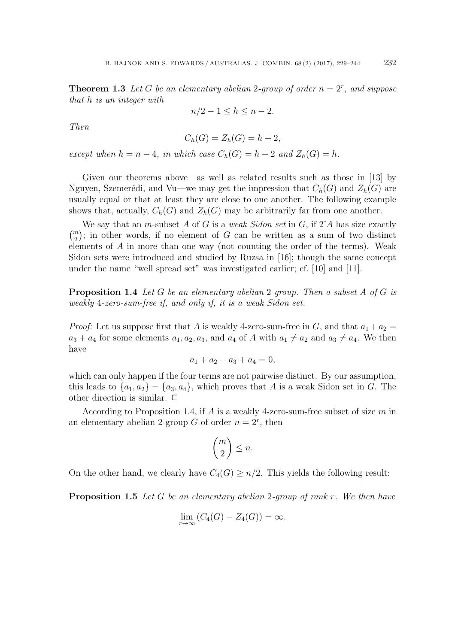**Theorem 1.3** Let G be an elementary abelian 2-group of order  $n = 2^r$ , and suppose *that h is an integer with*

$$
n/2 - 1 \le h \le n - 2.
$$

*Then*

$$
C_h(G) = Z_h(G) = h + 2,
$$

*except when*  $h = n - 4$ *, in which case*  $C_h(G) = h + 2$  *and*  $Z_h(G) = h$ *.* 

Given our theorems above—as well as related results such as those in [13] by Nguyen, Szemerédi, and Vu—we may get the impression that  $C_h(G)$  and  $Z_h(G)$  are usually equal or that at least they are close to one another. The following example shows that, actually,  $C_h(G)$  and  $Z_h(G)$  may be arbitrarily far from one another.

We say that an *m*-subset *A* of *G* is a *weak Sidon set* in *G*, if 2ˆ*A* has size exactly  $\binom{m}{2}$ ; in other words, if no element of *G* can be written as a sum of two distinct elements of *A* in more than one way (not counting the order of the terms). Weak Sidon sets were introduced and studied by Ruzsa in [16]; though the same concept under the name "well spread set" was investigated earlier; cf. [10] and [11].

**Proposition 1.4** *Let G be an elementary abelian* 2*-group. Then a subset A of G is weakly* 4*-zero-sum-free if, and only if, it is a weak Sidon set.*

*Proof:* Let us suppose first that *A* is weakly 4-zero-sum-free in *G*, and that  $a_1 + a_2 =$  $a_3 + a_4$  for some elements  $a_1, a_2, a_3$ , and  $a_4$  of *A* with  $a_1 \neq a_2$  and  $a_3 \neq a_4$ . We then have

$$
a_1 + a_2 + a_3 + a_4 = 0,
$$

which can only happen if the four terms are not pairwise distinct. By our assumption, this leads to  $\{a_1, a_2\} = \{a_3, a_4\}$ , which proves that *A* is a weak Sidon set in *G*. The other direction is similar.  $\Box$ 

According to Proposition 1.4, if *A* is a weakly 4-zero-sum-free subset of size *m* in an elementary abelian 2-group *G* of order  $n = 2<sup>r</sup>$ , then

$$
\binom{m}{2} \leq n.
$$

On the other hand, we clearly have  $C_4(G) \geq n/2$ . This yields the following result:

**Proposition 1.5** *Let G be an elementary abelian* 2*-group of rank r. We then have*

$$
\lim_{r \to \infty} (C_4(G) - Z_4(G)) = \infty.
$$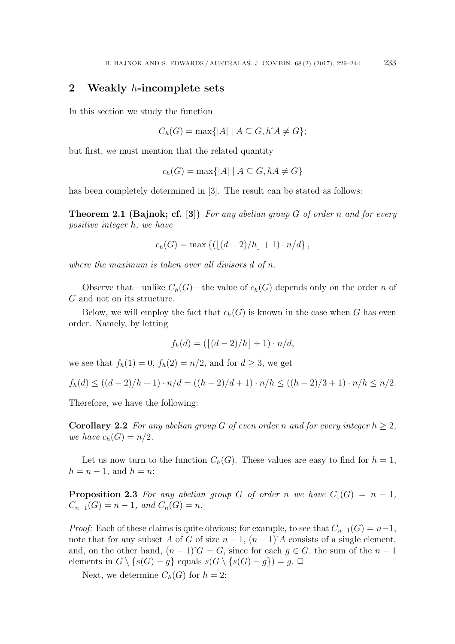### **2 Weakly** *h***-incomplete sets**

In this section we study the function

$$
C_h(G) = \max\{|A| \mid A \subseteq G, h \land A \neq G\};
$$

but first, we must mention that the related quantity

$$
c_h(G) = \max\{|A| \mid A \subseteq G, hA \neq G\}
$$

has been completely determined in [3]. The result can be stated as follows:

**Theorem 2.1 (Bajnok; cf. [3])** *For any abelian group G of order n and for every positive integer h, we have*

$$
c_h(G) = \max\left\{ (\lfloor (d-2)/h \rfloor + 1) \cdot n/d \right\},\,
$$

*where the maximum is taken over all divisors d of n.*

Observe that—unlike  $C_h(G)$ —the value of  $c_h(G)$  depends only on the order *n* of *G* and not on its structure.

Below, we will employ the fact that  $c_h(G)$  is known in the case when *G* has even order. Namely, by letting

$$
f_h(d) = (\lfloor (d-2)/h \rfloor + 1) \cdot n/d,
$$

we see that  $f_h(1) = 0$ ,  $f_h(2) = n/2$ , and for  $d \geq 3$ , we get

$$
f_h(d) \le ((d-2)/h + 1) \cdot n/d = ((h-2)/d + 1) \cdot n/h \le ((h-2)/3 + 1) \cdot n/h \le n/2.
$$

Therefore, we have the following:

**Corollary 2.2** *For any abelian group G of even order n and for every integer*  $h > 2$ *, we have*  $c_h(G) = n/2$ *.* 

Let us now turn to the function  $C_h(G)$ . These values are easy to find for  $h = 1$ ,  $h = n - 1$ , and  $h = n$ :

**Proposition 2.3** For any abelian group *G* of order *n* we have  $C_1(G) = n - 1$ ,  $C_{n-1}(G) = n - 1$ , and  $C_n(G) = n$ .

*Proof:* Each of these claims is quite obvious; for example, to see that  $C_{n-1}(G) = n-1$ , note that for any subset *A* of *G* of size  $n-1$ ,  $(n-1)$ <sup> $\land$ </sup> d consists of a single element, and, on the other hand,  $(n-1)$ <sup>n</sup> $G = G$ , since for each  $g \in G$ , the sum of the  $n-1$ elements in  $G \setminus \{s(G) - g\}$  equals  $s(G \setminus \{s(G) - g\}) = g$ .  $\Box$ 

Next, we determine  $C_h(G)$  for  $h = 2$ :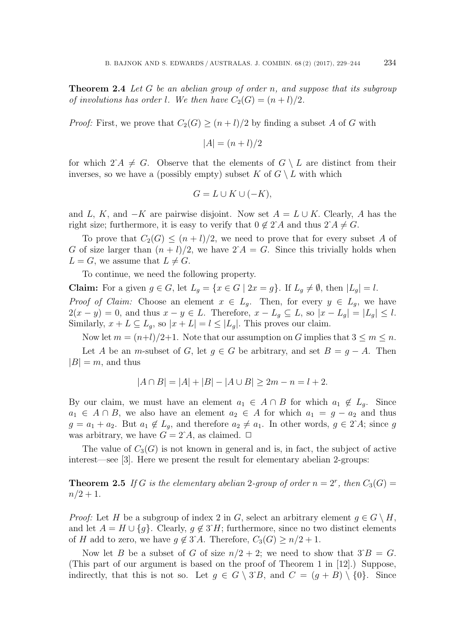**Theorem 2.4** *Let G be an abelian group of order n, and suppose that its subgroup of involutions has order l. We then have*  $C_2(G) = (n + l)/2$ *.* 

*Proof:* First, we prove that  $C_2(G) \ge (n+l)/2$  by finding a subset *A* of *G* with

$$
|A| = (n+l)/2
$$

for which  $2^c A \neq G$ . Observe that the elements of  $G \setminus L$  are distinct from their inverses, so we have a (possibly empty) subset  $K$  of  $G \setminus L$  with which

$$
G = L \cup K \cup (-K),
$$

and *L*, *K*, and  $-K$  are pairwise disjoint. Now set  $A = L \cup K$ . Clearly, *A* has the right size; furthermore, it is easy to verify that  $0 \notin 2^A A$  and thus  $2^A \neq G$ .

To prove that  $C_2(G) \leq (n+l)/2$ , we need to prove that for every subset A of *G* of size larger than  $(n + l)/2$ , we have  $2^A = G$ . Since this trivially holds when  $L = G$ , we assume that  $L \neq G$ .

To continue, we need the following property.

**Claim:** For a given  $g \in G$ , let  $L_g = \{x \in G \mid 2x = g\}$ . If  $L_g \neq \emptyset$ , then  $|L_g| = l$ .

*Proof of Claim:* Choose an element  $x \in L_g$ . Then, for every  $y \in L_g$ , we have  $2(x - y) = 0$ , and thus  $x - y \in L$ . Therefore,  $x - L_q \subseteq L$ , so  $|x - L_q| = |L_q| \leq l$ . Similarly,  $x + L \subseteq L_g$ , so  $|x + L| = l \leq |L_g|$ . This proves our claim.

Now let  $m = (n+l)/2+1$ . Note that our assumption on *G* implies that  $3 \le m \le n$ . Let *A* be an *m*-subset of *G*, let  $g \in G$  be arbitrary, and set  $B = g - A$ . Then  $|B| = m$ , and thus

$$
|A \cap B| = |A| + |B| - |A \cup B| \ge 2m - n = l + 2.
$$

By our claim, we must have an element  $a_1 \in A \cap B$  for which  $a_1 \notin L_q$ . Since  $a_1 \in A \cap B$ , we also have an element  $a_2 \in A$  for which  $a_1 = g - a_2$  and thus  $g = a_1 + a_2$ . But  $a_1 \notin L_g$ , and therefore  $a_2 \neq a_1$ . In other words,  $g \in 2^{\circ}A$ ; since *g* was arbitrary, we have  $G = 2^A A$ , as claimed.  $\Box$ 

The value of  $C_3(G)$  is not known in general and is, in fact, the subject of active interest—see [3]. Here we present the result for elementary abelian 2-groups:

**Theorem 2.5** If *G* is the elementary abelian 2-group of order  $n = 2^r$ , then  $C_3(G)$  =  $n/2+1$ .

*Proof:* Let *H* be a subgroup of index 2 in *G*, select an arbitrary element  $q \in G \setminus H$ , and let  $A = H \cup \{g\}$ . Clearly,  $g \notin 3^{\circ}H$ ; furthermore, since no two distinct elements of *H* add to zero, we have  $q \notin 3^A$ . Therefore,  $C_3(G) \geq n/2 + 1$ .

Now let *B* be a subset of *G* of size  $n/2 + 2$ ; we need to show that  $3^2B = G$ . (This part of our argument is based on the proof of Theorem 1 in [12].) Suppose, indirectly, that this is not so. Let  $g \in G \setminus \mathcal{S} \cap B$ , and  $C = (g + B) \setminus \{0\}$ . Since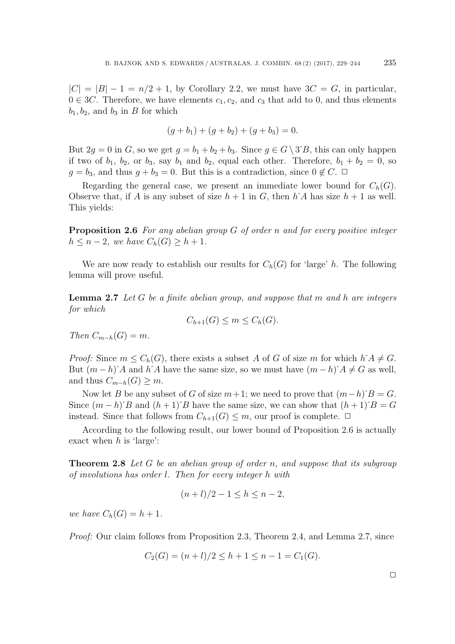$|C| = |B| - 1 = n/2 + 1$ , by Corollary 2.2, we must have  $3C = G$ , in particular,  $0 \in 3C$ . Therefore, we have elements  $c_1, c_2$ , and  $c_3$  that add to 0, and thus elements  $b_1, b_2,$  and  $b_3$  in *B* for which

$$
(g+b1)+(g+b2)+(g+b3)=0.
$$

But  $2g = 0$  in *G*, so we get  $g = b_1 + b_2 + b_3$ . Since  $g \in G \setminus \mathcal{S} \setminus B$ , this can only happen if two of  $b_1$ ,  $b_2$ , or  $b_3$ , say  $b_1$  and  $b_2$ , equal each other. Therefore,  $b_1 + b_2 = 0$ , so  $g = b_3$ , and thus  $g + b_3 = 0$ . But this is a contradiction, since  $0 \notin C$ .  $\Box$ 

Regarding the general case, we present an immediate lower bound for  $C_h(G)$ . Observe that, if *A* is any subset of size  $h + 1$  in *G*, then  $h \hat{A}$  has size  $h + 1$  as well. This yields:

**Proposition 2.6** *For any abelian group G of order n and for every positive integer h* ≤ *n* − 2*,* we have  $C_h(G)$  ≥ *h* + 1*.* 

We are now ready to establish our results for  $C_h(G)$  for 'large' *h*. The following lemma will prove useful.

**Lemma 2.7** *Let G be a finite abelian group, and suppose that m and h are integers for which*

$$
C_{h+1}(G) \le m \le C_h(G).
$$

*Then*  $C_{m-h}(G) = m$ .

*Proof:* Since  $m \leq C_h(G)$ , there exists a subset *A* of *G* of size *m* for which  $h \hat{A} \neq G$ . But  $(m - h)\hat{ }A$  and  $h\hat{ }A$  have the same size, so we must have  $(m - h)\hat{ }A \neq G$  as well, and thus  $C_{m-h}(G) \geq m$ .

Now let *B* be any subset of *G* of size  $m+1$ ; we need to prove that  $(m-h)^{s}B = G$ . Since  $(m - h)$ ̂<sup>*B*</sup> and  $(h + 1)$ <sup>*c*</sup>*B* have the same size, we can show that  $(h + 1)$ <sup>*c*</sup>*B* = *G* instead. Since that follows from  $C_{h+1}(G) \leq m$ , our proof is complete.  $\Box$ 

According to the following result, our lower bound of Proposition 2.6 is actually exact when *h* is 'large':

**Theorem 2.8** *Let G be an abelian group of order n, and suppose that its subgroup of involutions has order l. Then for every integer h with*

$$
(n+l)/2 - 1 \le h \le n-2,
$$

*we have*  $C_h(G) = h + 1$ *.* 

*Proof:* Our claim follows from Proposition 2.3, Theorem 2.4, and Lemma 2.7, since

$$
C_2(G) = (n+l)/2 \le h+1 \le n-1 = C_1(G).
$$

 $\Box$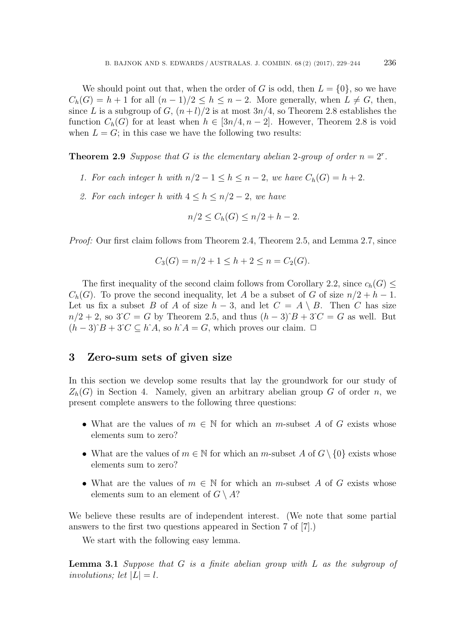We should point out that, when the order of *G* is odd, then  $L = \{0\}$ , so we have  $C_h(G) = h + 1$  for all  $(n-1)/2 \leq h \leq n-2$ . More generally, when  $L \neq G$ , then, since *L* is a subgroup of *G*,  $(n+l)/2$  is at most  $3n/4$ , so Theorem 2.8 establishes the function  $C_h(G)$  for at least when  $h \in [3n/4, n-2]$ . However, Theorem 2.8 is void when  $L = G$ ; in this case we have the following two results:

**Theorem 2.9** *Suppose that G is the elementary abelian* 2*-group of order*  $n = 2^r$ *.* 

- *1. For each integer h* with  $n/2 1 \leq h \leq n 2$ , we have  $C_h(G) = h + 2$ .
- 2. For each integer *h* with  $4 \leq h \leq n/2 2$ , we have

$$
n/2 \le C_h(G) \le n/2 + h - 2.
$$

*Proof:* Our first claim follows from Theorem 2.4, Theorem 2.5, and Lemma 2.7, since

$$
C_3(G) = n/2 + 1 \le h + 2 \le n = C_2(G).
$$

The first inequality of the second claim follows from Corollary 2.2, since  $c_h(G)$ *C<sub>h</sub>*(*G*). To prove the second inequality, let *A* be a subset of *G* of size  $n/2 + h - 1$ . Let us fix a subset *B* of *A* of size  $h-3$ , and let  $C = A \setminus B$ . Then *C* has size  $n/2 + 2$ , so  $3^{\circ}C = G$  by Theorem 2.5, and thus  $(h-3)^{\circ}B + 3^{\circ}C = G$  as well. But  $(h-3)$ <sup>*c*</sup> $B+3$ <sup>*c*</sup> $C \subseteq h$ <sup>*c*</sup> $A$ , so  $h$ <sup>*c*</sup> $A = G$ , which proves our claim. □

#### **3 Zero-sum sets of given size**

In this section we develop some results that lay the groundwork for our study of  $Z_h(G)$  in Section 4. Namely, given an arbitrary abelian group *G* of order *n*, we present complete answers to the following three questions:

- What are the values of  $m \in \mathbb{N}$  for which an *m*-subset *A* of *G* exists whose elements sum to zero?
- What are the values of  $m \in \mathbb{N}$  for which an *m*-subset A of  $G \setminus \{0\}$  exists whose elements sum to zero?
- What are the values of  $m \in \mathbb{N}$  for which an *m*-subset *A* of *G* exists whose elements sum to an element of  $G \setminus A$ ?

We believe these results are of independent interest. (We note that some partial answers to the first two questions appeared in Section 7 of [7].)

We start with the following easy lemma.

**Lemma 3.1** *Suppose that G is a finite abelian group with L as the subgroup of involutions;* let  $|L| = l$ .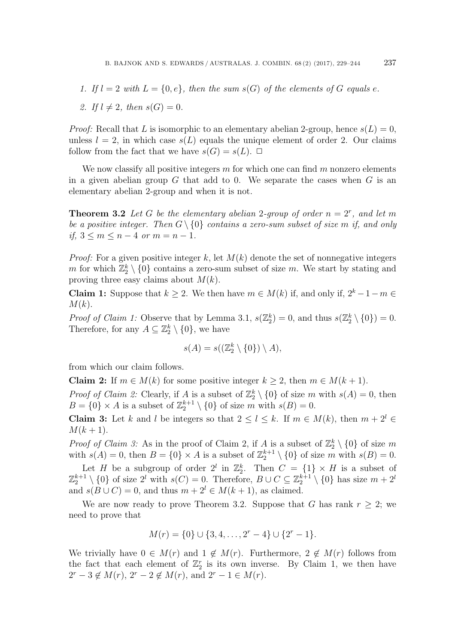\n- 1. If 
$$
l = 2
$$
 with  $L = \{0, e\}$ , then the sum  $s(G)$  of the elements of  $G$  equals  $e$ .
\n- 2. If  $l \neq 2$ , then  $s(G) = 0$ .
\n

*Proof:* Recall that *L* is isomorphic to an elementary abelian 2-group, hence  $s(L) = 0$ , unless  $l = 2$ , in which case  $s(L)$  equals the unique element of order 2. Our claims follow from the fact that we have  $s(G) = s(L)$ .  $\Box$ 

We now classify all positive integers *m* for which one can find *m* nonzero elements in a given abelian group *G* that add to 0. We separate the cases when *G* is an elementary abelian 2-group and when it is not.

**Theorem 3.2** Let G be the elementary abelian 2-group of order  $n = 2^r$ , and let m *be a positive integer. Then*  $G \setminus \{0\}$  *contains a zero-sum subset of size m if, and only*  $if, 3 \le m \le n - 4 \text{ or } m = n - 1.$ 

*Proof:* For a given positive integer  $k$ , let  $M(k)$  denote the set of nonnegative integers *m* for which  $\mathbb{Z}_2^k \setminus \{0\}$  contains a zero-sum subset of size *m*. We start by stating and proving three easy claims about *M*(*k*).

**Claim 1:** Suppose that  $k \geq 2$ . We then have  $m \in M(k)$  if, and only if,  $2^k - 1 - m \in$ *M*(*k*).

*Proof of Claim 1:* Observe that by Lemma 3.1,  $s(\mathbb{Z}_2^k) = 0$ , and thus  $s(\mathbb{Z}_2^k \setminus \{0\}) = 0$ . Therefore, for any  $A \subseteq \mathbb{Z}_2^k \setminus \{0\}$ , we have

$$
s(A) = s((\mathbb{Z}_2^k \setminus \{0\}) \setminus A),
$$

from which our claim follows.

**Claim 2:** If  $m \in M(k)$  for some positive integer  $k \geq 2$ , then  $m \in M(k+1)$ .

*Proof of Claim 2:* Clearly, if *A* is a subset of  $\mathbb{Z}_2^k \setminus \{0\}$  of size *m* with  $s(A) = 0$ , then  $B = \{0\} \times A$  is a subset of  $\mathbb{Z}_2^{k+1} \setminus \{0\}$  of size *m* with  $s(B) = 0$ .

**Claim 3:** Let *k* and *l* be integers so that  $2 \leq l \leq k$ . If  $m \in M(k)$ , then  $m + 2^l \in$  $M(k+1)$ .

*Proof of Claim 3:* As in the proof of Claim 2, if *A* is a subset of  $\mathbb{Z}_2^k \setminus \{0\}$  of size *m* with  $s(A) = 0$ , then  $B = \{0\} \times A$  is a subset of  $\mathbb{Z}_2^{k+1} \setminus \{0\}$  of size *m* with  $s(B) = 0$ .

Let *H* be a subgroup of order  $2^l$  in  $\mathbb{Z}_2^k$ . Then  $C = \{1\} \times H$  is a subset of  $\mathbb{Z}_2^{k+1} \setminus \{0\}$  of size  $2^l$  with  $s(C) = 0$ . Therefore,  $B \cup C \subseteq \mathbb{Z}_2^{k+1} \setminus \{0\}$  has size  $m + 2^l$ and  $s(B\cup C) = 0$ , and thus  $m + 2^{l} \in M(k + 1)$ , as claimed.

We are now ready to prove Theorem 3.2. Suppose that *G* has rank  $r \geq 2$ ; we need to prove that

$$
M(r) = \{0\} \cup \{3, 4, \dots, 2^r - 4\} \cup \{2^r - 1\}.
$$

We trivially have  $0 \in M(r)$  and  $1 \notin M(r)$ . Furthermore,  $2 \notin M(r)$  follows from the fact that each element of  $\mathbb{Z}_2^r$  is its own inverse. By Claim 1, we then have  $2^r - 3 \notin M(r)$ ,  $2^r - 2 \notin M(r)$ , and  $2^r - 1 \in M(r)$ .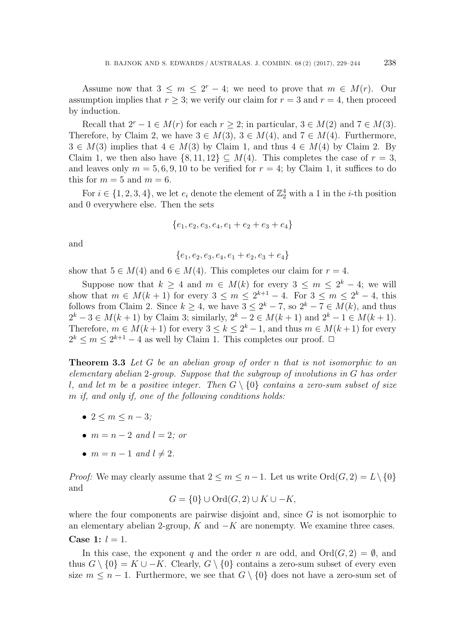Assume now that  $3 \leq m \leq 2^r - 4$ ; we need to prove that  $m \in M(r)$ . Our assumption implies that  $r > 3$ ; we verify our claim for  $r = 3$  and  $r = 4$ , then proceed by induction.

Recall that  $2^r - 1 \in M(r)$  for each  $r \geq 2$ ; in particular,  $3 \in M(2)$  and  $7 \in M(3)$ . Therefore, by Claim 2, we have  $3 \in M(3)$ ,  $3 \in M(4)$ , and  $7 \in M(4)$ . Furthermore,  $3 \in M(3)$  implies that  $4 \in M(3)$  by Claim 1, and thus  $4 \in M(4)$  by Claim 2. By Claim 1, we then also have  $\{8, 11, 12\} \subset M(4)$ . This completes the case of  $r = 3$ , and leaves only  $m = 5, 6, 9, 10$  to be verified for  $r = 4$ ; by Claim 1, it suffices to do this for  $m = 5$  and  $m = 6$ .

For  $i \in \{1, 2, 3, 4\}$ , we let  $e_i$  denote the element of  $\mathbb{Z}_2^4$  with a 1 in the *i*-th position and 0 everywhere else. Then the sets

$$
\{e_1,e_2,e_3,e_4,e_1+e_2+e_3+e_4\}
$$

and

$$
\{e_1,e_2,e_3,e_4,e_1+e_2,e_3+e_4\}
$$

show that  $5 \in M(4)$  and  $6 \in M(4)$ . This completes our claim for  $r = 4$ .

Suppose now that  $k \geq 4$  and  $m \in M(k)$  for every  $3 \leq m \leq 2^k - 4$ ; we will show that  $m \in M(k+1)$  for every  $3 \le m \le 2^{k+1} - 4$ . For  $3 \le m \le 2^k - 4$ , this follows from Claim 2. Since  $k \geq 4$ , we have  $3 \leq 2^k - 7$ , so  $2^k - 7 \in M(k)$ , and thus 2<sup>*k*</sup> − 3 ∈ *M*(*k* + 1) by Claim 3; similarly,  $2^k - 2 \in M(k+1)$  and  $2^k - 1 \in M(k+1)$ . Therefore,  $m \in M(k+1)$  for every  $3 \leq k \leq 2^k - 1$ , and thus  $m \in M(k+1)$  for every  $2^k \le m \le 2^{k+1} - 4$  as well by Claim 1. This completes our proof.  $\Box$ 

**Theorem 3.3** *Let G be an abelian group of order n that is not isomorphic to an elementary abelian* 2*-group. Suppose that the subgroup of involutions in G has order l*, and let *m* be a positive integer. Then  $G \setminus \{0\}$  contains a zero-sum subset of size *m if, and only if, one of the following conditions holds:*

- $2 \le m \le n-3$ ;
- $m = n 2$  and  $l = 2$ ; or
- $m = n 1$  and  $l \neq 2$ .

*Proof:* We may clearly assume that  $2 \leq m \leq n-1$ . Let us write  $\text{Ord}(G, 2) = L \setminus \{0\}$ and

$$
G = \{0\} \cup \text{Ord}(G, 2) \cup K \cup -K,
$$

where the four components are pairwise disjoint and, since *G* is not isomorphic to an elementary abelian 2-group,  $K$  and  $-K$  are nonempty. We examine three cases. **Case 1:**  $l = 1$ .

In this case, the exponent *q* and the order *n* are odd, and  $Ord(G, 2) = \emptyset$ , and thus  $G \setminus \{0\} = K \cup -K$ . Clearly,  $G \setminus \{0\}$  contains a zero-sum subset of every even size  $m \leq n-1$ . Furthermore, we see that  $G \setminus \{0\}$  does not have a zero-sum set of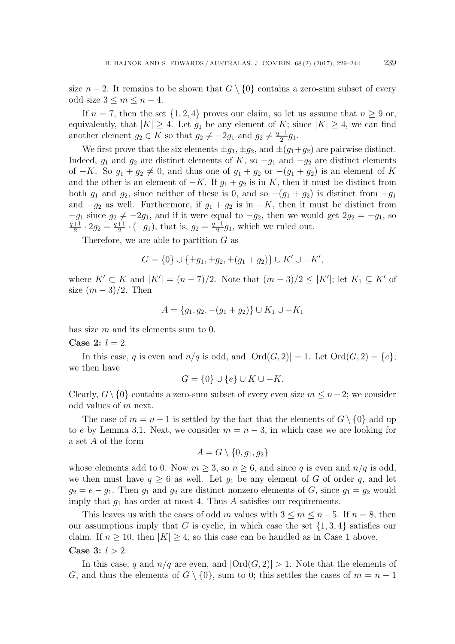size *n* − 2. It remains to be shown that  $G \setminus \{0\}$  contains a zero-sum subset of every odd size 3 ≤ *m* ≤ *n* − 4.

If  $n = 7$ , then the set  $\{1, 2, 4\}$  proves our claim, so let us assume that  $n \geq 9$  or, equivalently, that  $|K| \geq 4$ . Let  $q_1$  be any element of K; since  $|K| \geq 4$ , we can find another element  $g_2 \in K$  so that  $g_2 \neq -2g_1$  and  $g_2 \neq \frac{q-1}{2}g_1$ .

We first prove that the six elements  $\pm g_1, \pm g_2$ , and  $\pm (g_1+g_2)$  are pairwise distinct. Indeed,  $g_1$  and  $g_2$  are distinct elements of *K*, so  $-g_1$  and  $-g_2$  are distinct elements of  $-K$ . So  $g_1 + g_2 \neq 0$ , and thus one of  $g_1 + g_2$  or  $-(g_1 + g_2)$  is an element of K and the other is an element of  $-K$ . If  $g_1 + g_2$  is in *K*, then it must be distinct from both  $g_1$  and  $g_2$ , since neither of these is 0, and so  $-(g_1 + g_2)$  is distinct from  $-g_1$ and  $-g_2$  as well. Furthermore, if  $g_1 + g_2$  is in  $-K$ , then it must be distinct from  $-g_1$  since  $g_2 \neq -2g_1$ , and if it were equal to  $-g_2$ , then we would get  $2g_2 = -g_1$ , so  $\frac{q+1}{2} \cdot 2g_2 = \frac{q+1}{2} \cdot (-g_1)$ , that is,  $g_2 = \frac{q-1}{2}g_1$ , which we ruled out.

Therefore, we are able to partition *G* as

$$
G = \{0\} \cup \{\pm g_1, \pm g_2, \pm (g_1 + g_2)\} \cup K' \cup -K',
$$

where  $K' \subset K$  and  $|K'| = (n-7)/2$ . Note that  $(m-3)/2 \leq |K'|$ ; let  $K_1 \subseteq K'$  of size  $(m-3)/2$ . Then

$$
A = \{g_1, g_2, -(g_1 + g_2)\} \cup K_1 \cup -K_1
$$

has size *m* and its elements sum to 0.

**Case 2:**  $l = 2$ .

In this case, *q* is even and  $n/q$  is odd, and  $|\text{Ord}(G,2)|=1$ . Let  $\text{Ord}(G,2)=\{e\};$ we then have

$$
G = \{0\} \cup \{e\} \cup K \cup -K.
$$

Clearly,  $G \setminus \{0\}$  contains a zero-sum subset of every even size  $m \leq n-2$ ; we consider odd values of *m* next.

The case of  $m = n - 1$  is settled by the fact that the elements of  $G \setminus \{0\}$  add up to *e* by Lemma 3.1. Next, we consider  $m = n - 3$ , in which case we are looking for a set *A* of the form

$$
A = G \setminus \{0, g_1, g_2\}
$$

whose elements add to 0. Now  $m \geq 3$ , so  $n \geq 6$ , and since q is even and  $n/q$  is odd, we then must have  $q \geq 6$  as well. Let  $g_1$  be any element of *G* of order *q*, and let  $g_2 = e - g_1$ . Then  $g_1$  and  $g_2$  are distinct nonzero elements of *G*, since  $g_1 = g_2$  would imply that  $g_1$  has order at most 4. Thus  $A$  satisfies our requirements.

This leaves us with the cases of odd *m* values with  $3 \le m \le n-5$ . If  $n = 8$ , then our assumptions imply that *G* is cyclic, in which case the set  $\{1, 3, 4\}$  satisfies our claim. If  $n \geq 10$ , then  $|K| \geq 4$ , so this case can be handled as in Case 1 above. **Case 3:** *l >* 2.

In this case, *q* and  $n/q$  are even, and  $|\text{Ord}(G,2)|>1$ . Note that the elements of *G*, and thus the elements of  $G \setminus \{0\}$ , sum to 0; this settles the cases of  $m = n - 1$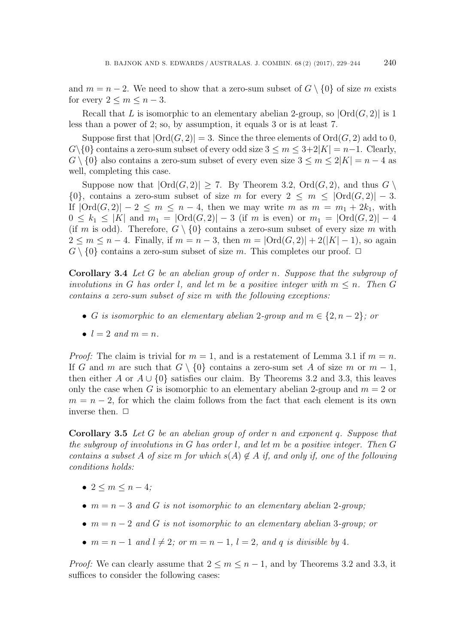and  $m = n - 2$ . We need to show that a zero-sum subset of  $G \setminus \{0\}$  of size m exists for every  $2 \leq m \leq n-3$ .

Recall that L is isomorphic to an elementary abelian 2-group, so  $|Ord(G, 2)|$  is 1 less than a power of 2; so, by assumption, it equals 3 or is at least 7.

Suppose first that  $|Ord(G, 2)| = 3$ . Since the three elements of  $Ord(G, 2)$  add to 0,  $G\setminus\{0\}$  contains a zero-sum subset of every odd size  $3 \le m \le 3+2|K| = n-1$ . Clearly,  $G \setminus \{0\}$  also contains a zero-sum subset of every even size  $3 \le m \le 2|K| = n - 4$  as well, completing this case.

Suppose now that  $|\text{Ord}(G,2)| \ge 7$ . By Theorem 3.2,  $\text{Ord}(G,2)$ , and thus  $G \setminus$  $\{0\}$ , contains a zero-sum subset of size *m* for every  $2 \le m \le |\text{Ord}(G, 2)| - 3$ . If  $|\text{Ord}(G,2)|-2 \leq m \leq n-4$ , then we may write *m* as  $m = m_1 + 2k_1$ , with 0 ≤  $k_1$  ≤ |K| and  $m_1$  = |Ord(*G*, 2)| − 3 (if *m* is even) or  $m_1$  = |Ord(*G*, 2)| − 4 (if *m* is odd). Therefore,  $G \setminus \{0\}$  contains a zero-sum subset of every size *m* with 2 ≤ *m* ≤ *n* − 4. Finally, if *m* = *n* − 3, then *m* =  $|Ord(G, 2)| + 2(|K| - 1)$ , so again  $G \setminus \{0\}$  contains a zero-sum subset of size *m*. This completes our proof.  $\Box$ 

**Corollary 3.4** *Let G be an abelian group of order n. Suppose that the subgroup of involutions in G has order l*, and let *m be a positive integer with*  $m \leq n$ . Then *G contains a zero-sum subset of size m with the following exceptions:*

- *G is isomorphic to an elementary abelian* 2*-group and*  $m \in \{2, n-2\}$ ; *or*
- $l = 2$  and  $m = n$ .

*Proof:* The claim is trivial for  $m = 1$ , and is a restatement of Lemma 3.1 if  $m = n$ . If *G* and *m* are such that  $G \setminus \{0\}$  contains a zero-sum set *A* of size *m* or  $m-1$ , then either *A* or  $A \cup \{0\}$  satisfies our claim. By Theorems 3.2 and 3.3, this leaves only the case when *G* is isomorphic to an elementary abelian 2-group and  $m = 2$  or  $m = n - 2$ , for which the claim follows from the fact that each element is its own inverse then.  $\Box$ 

**Corollary 3.5** *Let G be an abelian group of order n and exponent q. Suppose that the subgroup of involutions in G has order l, and let m be a positive integer. Then G contains a subset A of size m for which*  $s(A) \notin A$  *if, and only if, one of the following conditions holds:*

- $2 \le m \le n-4$ ;
- $m = n 3$  and G is not isomorphic to an elementary abelian 2-group;
- *m* = *n* − 2 *and G is not isomorphic to an elementary abelian* 3*-group; or*
- $m = n 1$  and  $l \neq 2$ ; or  $m = n 1$ ,  $l = 2$ , and q is divisible by 4.

*Proof:* We can clearly assume that  $2 \leq m \leq n-1$ , and by Theorems 3.2 and 3.3, it suffices to consider the following cases: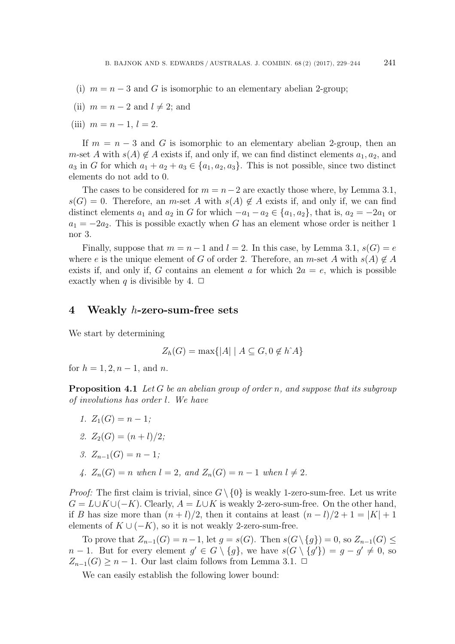- (i)  $m = n 3$  and *G* is isomorphic to an elementary abelian 2-group;
- (ii)  $m = n 2$  and  $l \neq 2$ ; and
- (iii)  $m = n 1, l = 2.$

If  $m = n - 3$  and G is isomorphic to an elementary abelian 2-group, then an *m*-set *A* with  $s(A) \notin A$  exists if, and only if, we can find distinct elements  $a_1, a_2$ , and  $a_3$  in *G* for which  $a_1 + a_2 + a_3 \in \{a_1, a_2, a_3\}$ . This is not possible, since two distinct elements do not add to 0.

The cases to be considered for  $m = n - 2$  are exactly those where, by Lemma 3.1,  $s(G) = 0$ . Therefore, an *m*-set *A* with  $s(A) \notin A$  exists if, and only if, we can find distinct elements  $a_1$  and  $a_2$  in *G* for which  $-a_1 - a_2 \in \{a_1, a_2\}$ , that is,  $a_2 = -2a_1$  or  $a_1 = -2a_2$ . This is possible exactly when *G* has an element whose order is neither 1 nor 3.

Finally, suppose that  $m = n - 1$  and  $l = 2$ . In this case, by Lemma 3.1,  $s(G) = e$ where *e* is the unique element of *G* of order 2. Therefore, an *m*-set *A* with  $s(A) \notin A$ exists if, and only if, *G* contains an element *a* for which  $2a = e$ , which is possible exactly when *q* is divisible by 4.  $\Box$ 

#### **4 Weakly** *h***-zero-sum-free sets**

We start by determining

$$
Z_h(G) = \max\{|A| \mid A \subseteq G, 0 \notin h \land A\}
$$

for  $h = 1, 2, n - 1$ , and *n*.

**Proposition 4.1** *Let G be an abelian group of order n, and suppose that its subgroup of involutions has order l. We have*

- *1.*  $Z_1(G) = n 1$ ;
- 2.  $Z_2(G) = (n+l)/2;$
- *3.*  $Z_{n-1}(G) = n-1;$
- *4.*  $Z_n(G) = n$  when  $l = 2$ , and  $Z_n(G) = n 1$  when  $l \neq 2$ .

*Proof:* The first claim is trivial, since  $G \setminus \{0\}$  is weakly 1-zero-sum-free. Let us write  $G = L \cup K \cup (-K)$ . Clearly,  $A = L \cup K$  is weakly 2-zero-sum-free. On the other hand, if *B* has size more than  $(n+l)/2$ , then it contains at least  $(n-l)/2+1=|K|+1$ elements of  $K \cup (-K)$ , so it is not weakly 2-zero-sum-free.

To prove that  $Z_{n-1}(G) = n-1$ , let  $g = s(G)$ . Then  $s(G \setminus \{g\}) = 0$ , so  $Z_{n-1}(G)$  ≤ *n* − 1. But for every element  $g' \in G \setminus \{g\}$ , we have  $s(G \setminus \{g'\}) = g - g' \neq 0$ , so  $Z_{n-1}(G) \geq n-1$ . Our last claim follows from Lemma 3.1. <del>□</del>

We can easily establish the following lower bound: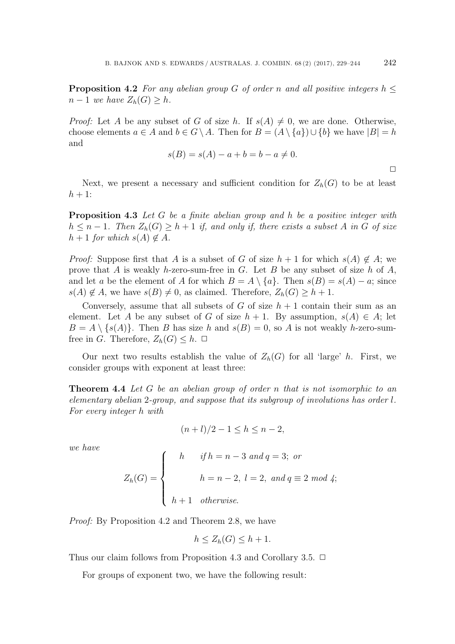**Proposition 4.2** *For any abelian group G of order n and all positive integers*  $h \leq$ *n* − 1 *we have*  $Z_h$ (*G*) ≥ *h*.

*Proof:* Let *A* be any subset of *G* of size *h*. If  $s(A) \neq 0$ , we are done. Otherwise, choose elements  $a \in A$  and  $b \in G \setminus A$ . Then for  $B = (A \setminus \{a\}) \cup \{b\}$  we have  $|B| = h$ and

$$
s(B) = s(A) - a + b = b - a \neq 0.
$$

Next, we present a necessary and sufficient condition for  $Z_h(G)$  to be at least  $h + 1$ :

**Proposition 4.3** *Let G be a finite abelian group and h be a positive integer with*  $h \leq n - 1$ *. Then*  $Z_h(G) \geq h + 1$  *if, and only if, there exists a subset A in G of size*  $h + 1$  *for which*  $s(A) \notin A$ *.* 

*Proof:* Suppose first that *A* is a subset of *G* of size  $h + 1$  for which  $s(A) \notin A$ ; we prove that *A* is weakly *h*-zero-sum-free in *G*. Let *B* be any subset of size *h* of *A*, and let *a* be the element of *A* for which  $B = A \setminus \{a\}$ . Then  $s(B) = s(A) - a$ ; since  $s(A) \notin A$ , we have  $s(B) \neq 0$ , as claimed. Therefore,  $Z_h(G) \geq h+1$ .

Conversely, assume that all subsets of *G* of size  $h + 1$  contain their sum as an element. Let *A* be any subset of *G* of size  $h + 1$ . By assumption,  $s(A) \in A$ ; let  $B = A \setminus \{s(A)\}\$ . Then *B* has size *h* and  $s(B) = 0$ , so *A* is not weakly *h*-zero-sumfree in *G*. Therefore,  $Z_h(G) \leq h$ .  $\Box$ 

Our next two results establish the value of  $Z_h(G)$  for all 'large' *h*. First, we consider groups with exponent at least three:

**Theorem 4.4** *Let G be an abelian group of order n that is not isomorphic to an elementary abelian* 2*-group, and suppose that its subgroup of involutions has order l. For every integer h with*

$$
(n+l)/2 - 1 \le h \le n-2,
$$

*we have*

$$
Z_h(G) = \begin{cases} \begin{aligned} h & \text{if } h = n - 3 \text{ and } q = 3; \text{ or} \\ \begin{aligned} h = n - 2, \ l = 2, \text{ and } q \equiv 2 \text{ mod } 4; \\ h + 1 & \text{otherwise.} \end{aligned} \end{cases}
$$

*Proof:* By Proposition 4.2 and Theorem 2.8, we have

$$
h \le Z_h(G) \le h + 1.
$$

Thus our claim follows from Proposition 4.3 and Corollary 3.5.  $\Box$ 

For groups of exponent two, we have the following result:

 $\Box$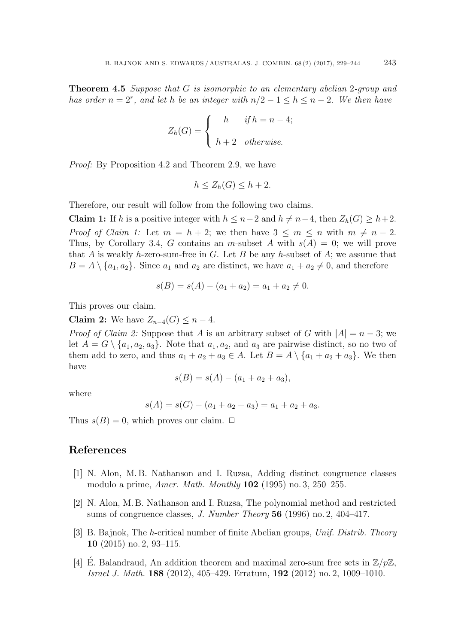**Theorem 4.5** *Suppose that G is isomorphic to an elementary abelian* 2*-group and has order*  $n = 2^r$ *, and let h be an integer with*  $n/2 - 1 \leq h \leq n - 2$ *. We then have* 

$$
Z_h(G) = \begin{cases} h & \text{if } h = n - 4; \\ h + 2 & \text{otherwise.} \end{cases}
$$

*Proof:* By Proposition 4.2 and Theorem 2.9, we have

$$
h \le Z_h(G) \le h+2.
$$

Therefore, our result will follow from the following two claims.

**Claim 1:** If *h* is a positive integer with  $h \leq n-2$  and  $h \neq n-4$ , then  $Z_h(G) \geq h+2$ . *Proof of Claim 1:* Let  $m = h + 2$ ; we then have  $3 \leq m \leq n$  with  $m \neq n - 2$ . Thus, by Corollary 3.4, *G* contains an *m*-subset *A* with  $s(A) = 0$ ; we will prove that *A* is weakly *h*-zero-sum-free in *G*. Let *B* be any *h*-subset of *A*; we assume that  $B = A \setminus \{a_1, a_2\}$ . Since  $a_1$  and  $a_2$  are distinct, we have  $a_1 + a_2 \neq 0$ , and therefore

$$
s(B) = s(A) - (a_1 + a_2) = a_1 + a_2 \neq 0.
$$

This proves our claim.

**Claim 2:** We have  $Z_{n-4}(G) \leq n-4$ .

*Proof of Claim 2:* Suppose that *A* is an arbitrary subset of *G* with  $|A| = n - 3$ ; we let  $A = G \setminus \{a_1, a_2, a_3\}$ . Note that  $a_1, a_2$ , and  $a_3$  are pairwise distinct, so no two of them add to zero, and thus  $a_1 + a_2 + a_3 \in A$ . Let  $B = A \setminus \{a_1 + a_2 + a_3\}$ . We then have

$$
s(B) = s(A) - (a_1 + a_2 + a_3),
$$

where

$$
s(A) = s(G) - (a_1 + a_2 + a_3) = a_1 + a_2 + a_3.
$$

Thus  $s(B) = 0$ , which proves our claim.  $\Box$ 

#### **References**

- [1] N. Alon, M. B. Nathanson and I. Ruzsa, Adding distinct congruence classes modulo a prime, *Amer. Math. Monthly* **102** (1995) no. 3, 250–255.
- [2] N. Alon, M. B. Nathanson and I. Ruzsa, The polynomial method and restricted sums of congruence classes, *J. Number Theory* **56** (1996) no. 2, 404–417.
- [3] B. Bajnok, The *h*-critical number of finite Abelian groups, *Unif. Distrib. Theory* **10** (2015) no. 2, 93–115.
- [4] E. Balandraud, An addition theorem and maximal zero-sum free sets in  $\mathbb{Z}/p\mathbb{Z}$ , *Israel J. Math.* **188** (2012), 405–429. Erratum, **192** (2012) no. 2, 1009–1010.